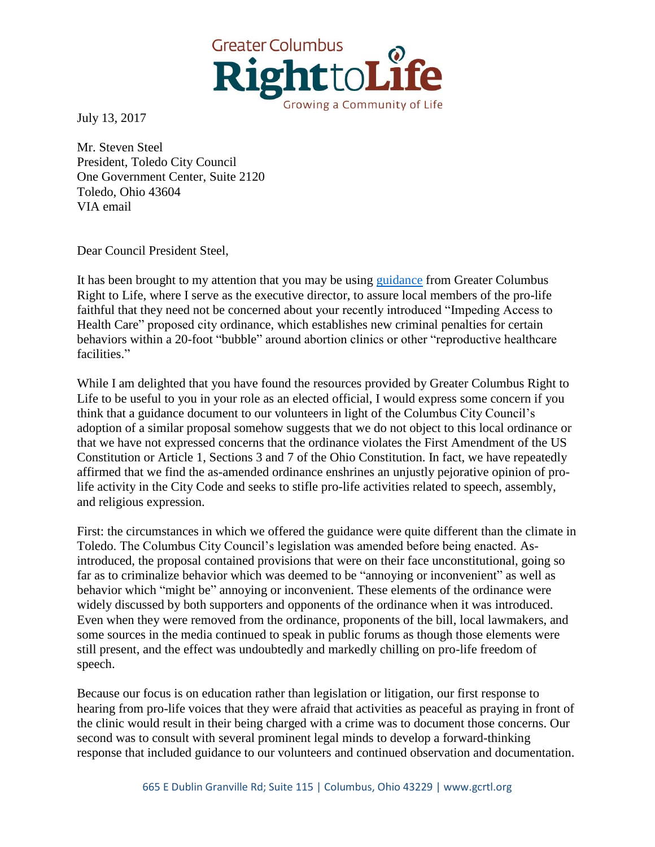

July 13, 2017

Mr. Steven Steel President, Toledo City Council One Government Center, Suite 2120 Toledo, Ohio 43604 VIA email

Dear Council President Steel,

It has been brought to my attention that you may be using [guidance](http://www.gcrtl.org/uploads/4/7/1/2/4712557/guidance_on_1458-2016.pdf) from Greater Columbus Right to Life, where I serve as the executive director, to assure local members of the pro-life faithful that they need not be concerned about your recently introduced "Impeding Access to Health Care" proposed city ordinance, which establishes new criminal penalties for certain behaviors within a 20-foot "bubble" around abortion clinics or other "reproductive healthcare facilities."

While I am delighted that you have found the resources provided by Greater Columbus Right to Life to be useful to you in your role as an elected official, I would express some concern if you think that a guidance document to our volunteers in light of the Columbus City Council's adoption of a similar proposal somehow suggests that we do not object to this local ordinance or that we have not expressed concerns that the ordinance violates the First Amendment of the US Constitution or Article 1, Sections 3 and 7 of the Ohio Constitution. In fact, we have repeatedly affirmed that we find the as-amended ordinance enshrines an unjustly pejorative opinion of prolife activity in the City Code and seeks to stifle pro-life activities related to speech, assembly, and religious expression.

First: the circumstances in which we offered the guidance were quite different than the climate in Toledo. The Columbus City Council's legislation was amended before being enacted. Asintroduced, the proposal contained provisions that were on their face unconstitutional, going so far as to criminalize behavior which was deemed to be "annoying or inconvenient" as well as behavior which "might be" annoying or inconvenient. These elements of the ordinance were widely discussed by both supporters and opponents of the ordinance when it was introduced. Even when they were removed from the ordinance, proponents of the bill, local lawmakers, and some sources in the media continued to speak in public forums as though those elements were still present, and the effect was undoubtedly and markedly chilling on pro-life freedom of speech.

Because our focus is on education rather than legislation or litigation, our first response to hearing from pro-life voices that they were afraid that activities as peaceful as praying in front of the clinic would result in their being charged with a crime was to document those concerns. Our second was to consult with several prominent legal minds to develop a forward-thinking response that included guidance to our volunteers and continued observation and documentation.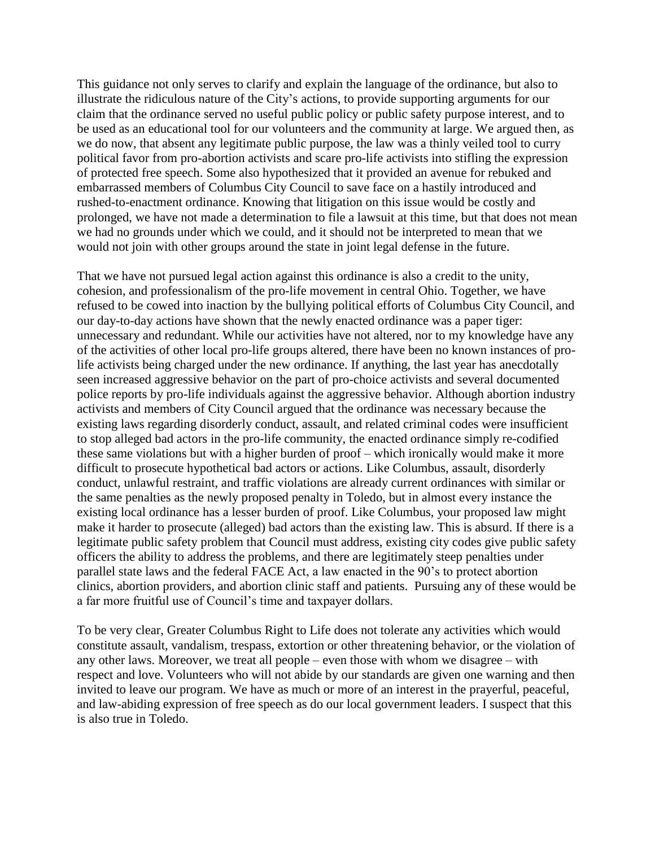This guidance not only serves to clarify and explain the language of the ordinance, but also to illustrate the ridiculous nature of the City's actions, to provide supporting arguments for our claim that the ordinance served no useful public policy or public safety purpose interest, and to be used as an educational tool for our volunteers and the community at large. We argued then, as we do now, that absent any legitimate public purpose, the law was a thinly veiled tool to curry political favor from pro-abortion activists and scare pro-life activists into stifling the expression of protected free speech. Some also hypothesized that it provided an avenue for rebuked and embarrassed members of Columbus City Council to save face on a hastily introduced and rushed-to-enactment ordinance. Knowing that litigation on this issue would be costly and prolonged, we have not made a determination to file a lawsuit at this time, but that does not mean we had no grounds under which we could, and it should not be interpreted to mean that we would not join with other groups around the state in joint legal defense in the future.

That we have not pursued legal action against this ordinance is also a credit to the unity, cohesion, and professionalism of the pro-life movement in central Ohio. Together, we have refused to be cowed into inaction by the bullying political efforts of Columbus City Council, and our day-to-day actions have shown that the newly enacted ordinance was a paper tiger: unnecessary and redundant. While our activities have not altered, nor to my knowledge have any of the activities of other local pro-life groups altered, there have been no known instances of prolife activists being charged under the new ordinance. If anything, the last year has anecdotally seen increased aggressive behavior on the part of pro-choice activists and several documented police reports by pro-life individuals against the aggressive behavior. Although abortion industry activists and members of City Council argued that the ordinance was necessary because the existing laws regarding disorderly conduct, assault, and related criminal codes were insufficient to stop alleged bad actors in the pro-life community, the enacted ordinance simply re-codified these same violations but with a higher burden of proof – which ironically would make it more difficult to prosecute hypothetical bad actors or actions. Like Columbus, assault, disorderly conduct, unlawful restraint, and traffic violations are already current ordinances with similar or the same penalties as the newly proposed penalty in Toledo, but in almost every instance the existing local ordinance has a lesser burden of proof. Like Columbus, your proposed law might make it harder to prosecute (alleged) bad actors than the existing law. This is absurd. If there is a legitimate public safety problem that Council must address, existing city codes give public safety officers the ability to address the problems, and there are legitimately steep penalties under parallel state laws and the federal FACE Act, a law enacted in the 90's to protect abortion clinics, abortion providers, and abortion clinic staff and patients. Pursuing any of these would be a far more fruitful use of Council's time and taxpayer dollars.

To be very clear, Greater Columbus Right to Life does not tolerate any activities which would constitute assault, vandalism, trespass, extortion or other threatening behavior, or the violation of any other laws. Moreover, we treat all people – even those with whom we disagree – with respect and love. Volunteers who will not abide by our standards are given one warning and then invited to leave our program. We have as much or more of an interest in the prayerful, peaceful, and law-abiding expression of free speech as do our local government leaders. I suspect that this is also true in Toledo.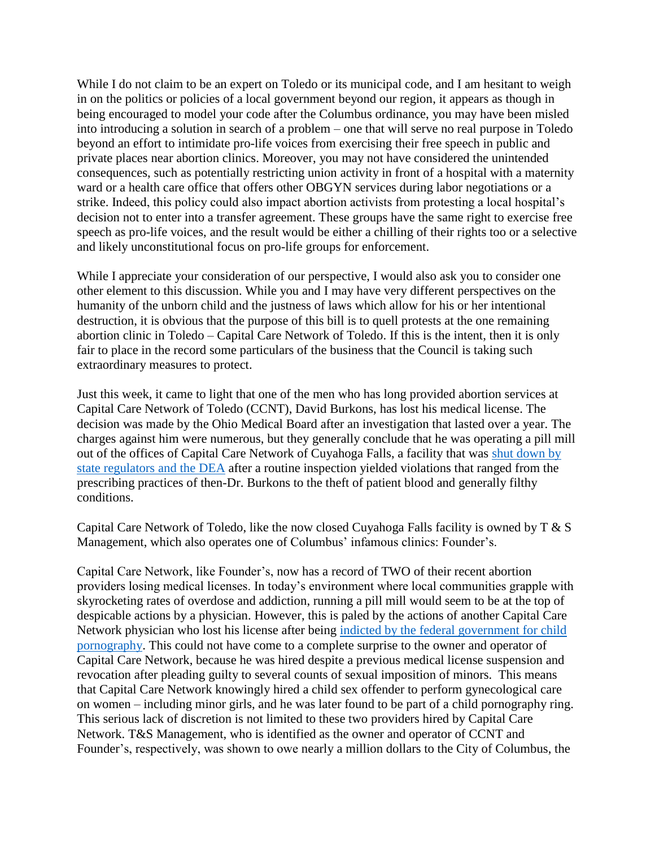While I do not claim to be an expert on Toledo or its municipal code, and I am hesitant to weigh in on the politics or policies of a local government beyond our region, it appears as though in being encouraged to model your code after the Columbus ordinance, you may have been misled into introducing a solution in search of a problem – one that will serve no real purpose in Toledo beyond an effort to intimidate pro-life voices from exercising their free speech in public and private places near abortion clinics. Moreover, you may not have considered the unintended consequences, such as potentially restricting union activity in front of a hospital with a maternity ward or a health care office that offers other OBGYN services during labor negotiations or a strike. Indeed, this policy could also impact abortion activists from protesting a local hospital's decision not to enter into a transfer agreement. These groups have the same right to exercise free speech as pro-life voices, and the result would be either a chilling of their rights too or a selective and likely unconstitutional focus on pro-life groups for enforcement.

While I appreciate your consideration of our perspective, I would also ask you to consider one other element to this discussion. While you and I may have very different perspectives on the humanity of the unborn child and the justness of laws which allow for his or her intentional destruction, it is obvious that the purpose of this bill is to quell protests at the one remaining abortion clinic in Toledo – Capital Care Network of Toledo. If this is the intent, then it is only fair to place in the record some particulars of the business that the Council is taking such extraordinary measures to protect.

Just this week, it came to light that one of the men who has long provided abortion services at Capital Care Network of Toledo (CCNT), David Burkons, has lost his medical license. The decision was made by the Ohio Medical Board after an investigation that lasted over a year. The charges against him were numerous, but they generally conclude that he was operating a pill mill out of the offices of Capital Care Network of Cuyahoga Falls, a facility that was [shut down by](http://www.gcrtl.org/uploads/4/7/1/2/4712557/terrie_hubbard_letter_to_document.pdf)  [state regulators and the DEA](http://www.gcrtl.org/uploads/4/7/1/2/4712557/terrie_hubbard_letter_to_document.pdf) after a routine inspection yielded violations that ranged from the prescribing practices of then-Dr. Burkons to the theft of patient blood and generally filthy conditions.

Capital Care Network of Toledo, like the now closed Cuyahoga Falls facility is owned by T & S Management, which also operates one of Columbus' infamous clinics: Founder's.

Capital Care Network, like Founder's, now has a record of TWO of their recent abortion providers losing medical licenses. In today's environment where local communities grapple with skyrocketing rates of overdose and addiction, running a pill mill would seem to be at the top of despicable actions by a physician. However, this is paled by the actions of another Capital Care Network physician who lost his license after being [indicted by the federal government for child](http://med.ohio.gov/formala/35032590.pdf)  [pornography.](http://med.ohio.gov/formala/35032590.pdf) This could not have come to a complete surprise to the owner and operator of Capital Care Network, because he was hired despite a previous medical license suspension and revocation after pleading guilty to several counts of sexual imposition of minors. This means that Capital Care Network knowingly hired a child sex offender to perform gynecological care on women – including minor girls, and he was later found to be part of a child pornography ring. This serious lack of discretion is not limited to these two providers hired by Capital Care Network. T&S Management, who is identified as the owner and operator of CCNT and Founder's, respectively, was shown to owe nearly a million dollars to the City of Columbus, the